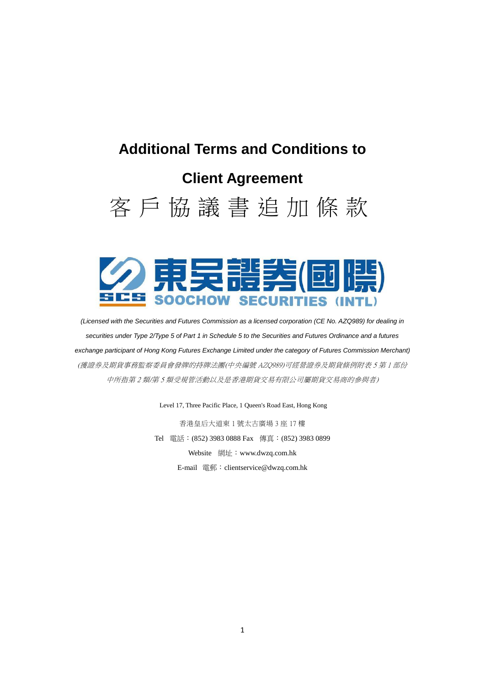# **Additional Terms and Conditions to Client Agreement**





*(Licensed with the Securities and Futures Commission as a licensed corporation (CE No. AZQ989) for dealing in securities under Type 2/Type 5 of Part 1 in Schedule 5 to the Securities and Futures Ordinance and a futures exchange participant of Hong Kong Futures Exchange Limited under the category of Futures Commission Merchant)* (獲證券及期貨事務監察委員會發牌的持牌法團(中央編號 AZQ989)可經營證券及期貨條例附表 5 第 1 部份 中所指第 2 類/第 5 類受規管活動以及是香港期貨交易有限公司屬期貨交易商的參與者)

Level 17, Three Pacific Place, 1 Queen's Road East, Hong Kong

香港皇后大道東 1 號太古廣場 3 座 17 樓 Tel 電話:(852) 3983 0888 Fax 傳真:(852) 3983 0899 Website 網址: www.dwzq.com.hk E-mail 電郵:clientservice@dwzq.com.hk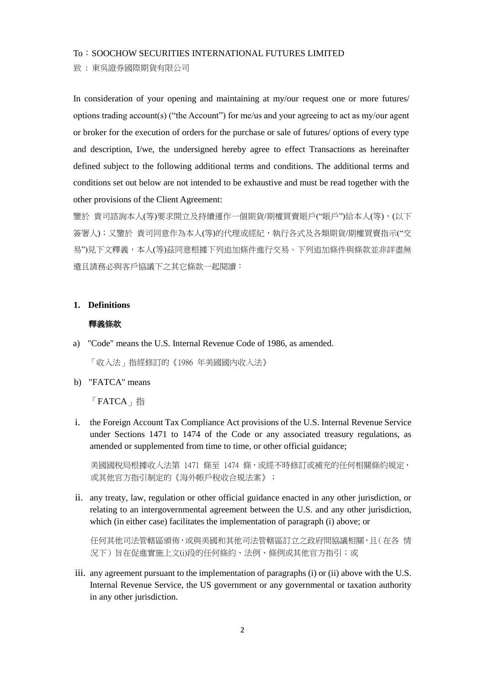#### To: SOOCHOW SECURITIES INTERNATIONAL FUTURES LIMITED

致 : 東吳證券國際期貨有限公司

In consideration of your opening and maintaining at my/our request one or more futures/ options trading account(s) ("the Account") for me/us and your agreeing to act as my/our agent or broker for the execution of orders for the purchase or sale of futures/ options of every type and description, I/we, the undersigned hereby agree to effect Transactions as hereinafter defined subject to the following additional terms and conditions. The additional terms and conditions set out below are not intended to be exhaustive and must be read together with the other provisions of the Client Agreement:

鑒於 貴司諮詢本人(等)要求開立及持續運作一個期貨/期權買賣賬戶("賬戶")給本人(等),(以下 簽署人);又鑒於 貴司同意作為本人(等)的代理或經紀,執行各式及各類期貨/期權買賣指示("交 易")見下文釋義,本人(等)茲同意根據下列追加條件進行交易。下列追加條件與條款並非詳盡無 遺且請務必與客戶協議下之其它條款一起閱讀:

#### **1. Definitions**

# 釋義條款

a) "Code" means the U.S. Internal Revenue Code of 1986, as amended.

「收入法」指經修訂的《1986 年美國國內收入法》

b) "FATCA" means

「FATCA」指

i. the Foreign Account Tax Compliance Act provisions of the U.S. Internal Revenue Service under Sections 1471 to 1474 of the Code or any associated treasury regulations, as amended or supplemented from time to time, or other official guidance;

美國國稅局根據收入法第 1471 條至 1474 條,或經不時修訂或補充的任何相關條約規定, 或其他官方指引制定的《海外帳戶稅收合規法案》;

ii. any treaty, law, regulation or other official guidance enacted in any other jurisdiction, or relating to an intergovernmental agreement between the U.S. and any other jurisdiction, which (in either case) facilitates the implementation of paragraph (i) above; or

任何其他司法管轄區頒佈,或與美國和其他司法管轄區訂立之政府間協議相關,且(在各 情 況下)旨在促進實施上文(i)段的任何條約、法例、條例或其他官方指引;或

iii. any agreement pursuant to the implementation of paragraphs (i) or (ii) above with the U.S. Internal Revenue Service, the US government or any governmental or taxation authority in any other jurisdiction.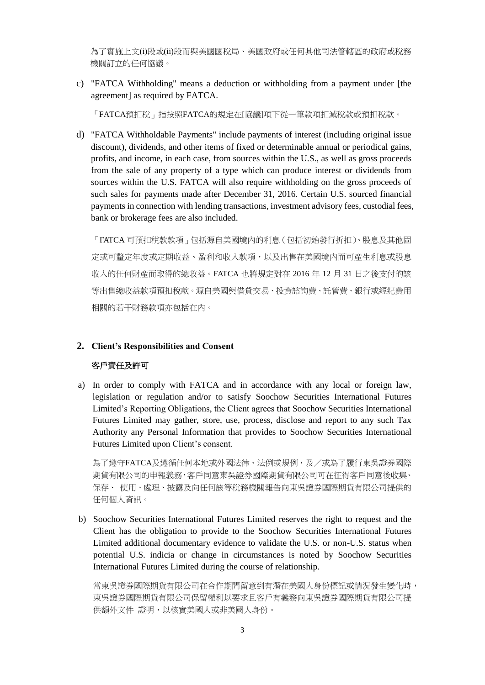為了實施上文(i)段或(ii)段而與美國國稅局、美國政府或任何其他司法管轄區的政府或稅務 機關訂立的任何協議。

c) "FATCA Withholding" means a deduction or withholding from a payment under [the agreement] as required by FATCA.

「FATCA預扣稅」指按照FATCA的規定在[協議]項下從一筆款項扣減稅款或預扣稅款。

d) "FATCA Withholdable Payments" include payments of interest (including original issue discount), dividends, and other items of fixed or determinable annual or periodical gains, profits, and income, in each case, from sources within the U.S., as well as gross proceeds from the sale of any property of a type which can produce interest or dividends from sources within the U.S. FATCA will also require withholding on the gross proceeds of such sales for payments made after December 31, 2016. Certain U.S. sourced financial payments in connection with lending transactions, investment advisory fees, custodial fees, bank or brokerage fees are also included.

「FATCA 可預扣稅款款項」包括源自美國境內的利息(包括初始發行折扣)、股息及其他固 定或可釐定年度或定期收益、盈利和收入款項,以及出售在美國境內而可產生利息或股息 收入的任何財產而取得的總收益。FATCA 也將規定對在 2016 年 12 月 31 日之後支付的該 等出售總收益款項預扣稅款。源自美國與借貸交易、投資諮詢費、託管費、銀行或經紀費用 相關的若干財務款項亦包括在內。

## **2. Client's Responsibilities and Consent**

## 客戶責任及許可

a) In order to comply with FATCA and in accordance with any local or foreign law, legislation or regulation and/or to satisfy Soochow Securities International Futures Limited's Reporting Obligations, the Client agrees that Soochow Securities International Futures Limited may gather, store, use, process, disclose and report to any such Tax Authority any Personal Information that provides to Soochow Securities International Futures Limited upon Client's consent.

為了遵守FATCA及遵循任何本地或外國法律、法例或規例,及/或為了履行東吳證券國際 期貨有限公司的申報義務,客戶同意東吳證券國際期貨有限公司可在征得客戶同意後收集、 保存、 使用、處理、披露及向任何該等稅務機關報告向東吳證券國際期貨有限公司提供的 任何個人資訊。

b) Soochow Securities International Futures Limited reserves the right to request and the Client has the obligation to provide to the Soochow Securities International Futures Limited additional documentary evidence to validate the U.S. or non-U.S. status when potential U.S. indicia or change in circumstances is noted by Soochow Securities International Futures Limited during the course of relationship.

當東吳證券國際期貨有限公司在合作期間留意到有潛在美國人身份標記或情況發生變化時, 東吳證券國際期貨有限公司保留權利以要求且客戶有義務向東吳證券國際期貨有限公司提 供額外文件 證明,以核實美國人或非美國人身份。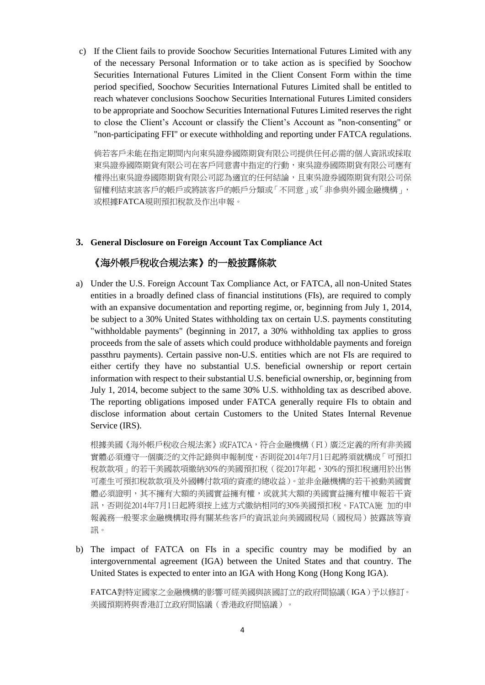c) If the Client fails to provide Soochow Securities International Futures Limited with any of the necessary Personal Information or to take action as is specified by Soochow Securities International Futures Limited in the Client Consent Form within the time period specified, Soochow Securities International Futures Limited shall be entitled to reach whatever conclusions Soochow Securities International Futures Limited considers to be appropriate and Soochow Securities International Futures Limited reserves the right to close the Client's Account or classify the Client's Account as "non-consenting" or "non-participating FFI" or execute withholding and reporting under FATCA regulations.

倘若客戶未能在指定期間內向東吳證券國際期貨有限公司提供任何必需的個人資訊或採取 東吳證券國際期貨有限公司在客戶同意書中指定的行動,東吳證券國際期貨有限公司應有 權得出東吳證券國際期貨有限公司認為適宜的任何結論,且東吳證券國際期貨有限公司保 留權利結束該客戶的帳戶或將該客戶的帳戶分類或「不同意」或「非參與外國金融機構」, 或根據FATCA規則預扣稅款及作出申報。

#### **3. General Disclosure on Foreign Account Tax Compliance Act**

# 《海外帳戶稅收合規法案》的一般披露條款

a) Under the U.S. Foreign Account Tax Compliance Act, or FATCA, all non-United States entities in a broadly defined class of financial institutions (FIs), are required to comply with an expansive documentation and reporting regime, or, beginning from July 1, 2014, be subject to a 30% United States withholding tax on certain U.S. payments constituting "withholdable payments" (beginning in 2017, a 30% withholding tax applies to gross proceeds from the sale of assets which could produce withholdable payments and foreign passthru payments). Certain passive non-U.S. entities which are not FIs are required to either certify they have no substantial U.S. beneficial ownership or report certain information with respect to their substantial U.S. beneficial ownership, or, beginning from July 1, 2014, become subject to the same 30% U.S. withholding tax as described above. The reporting obligations imposed under FATCA generally require FIs to obtain and disclose information about certain Customers to the United States Internal Revenue Service (IRS).

根據美國《海外帳戶稅收合規法案》或FATCA,符合金融機構(FI)廣泛定義的所有非美國 實體必須遵守一個廣泛的文件記錄與申報制度,否則從2014年7月1日起將須就構成「可預扣 稅款款項」的若干美國款項繳納30%的美國預扣稅(從2017年起,30%的預扣稅適用於出售 可產生可預扣稅款款項及外國轉付款項的資產的總收益)。並非金融機構的若干被動美國實 體必須證明,其不擁有大額的美國實益擁有權,或就其大額的美國實益擁有權申報若干資 訊,否則從2014年7月1日起將須按上述方式繳納相同的30%美國預扣稅。FATCA施 加的申 報義務一般要求金融機構取得有關某些客戶的資訊並向美國國稅局(國稅局)披露該等資 訊。

b) The impact of FATCA on FIs in a specific country may be modified by an intergovernmental agreement (IGA) between the United States and that country. The United States is expected to enter into an IGA with Hong Kong (Hong Kong IGA).

FATCA對特定國家之金融機構的影響可經美國與該國訂立的政府間協議(IGA)予以修訂。 美國預期將與香港訂立政府間協議(香港政府間協議)。